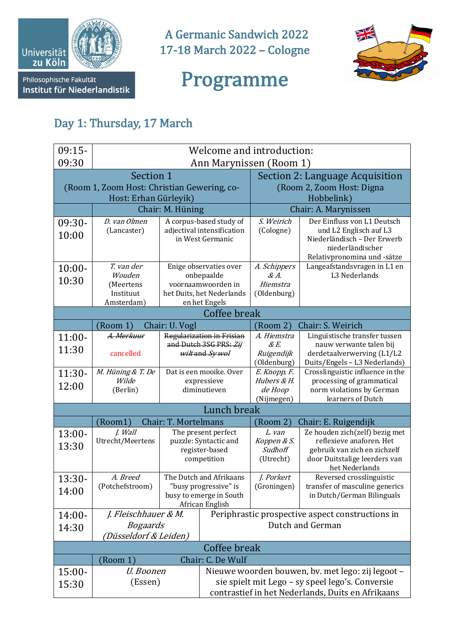

Institut für Niederlandistik

A Germanic Sandwich 2022 17-18 March 2022 - Cologne



## Programme

## Day 1: Thursday, 17 March

| $09:15-$                                      | Welcome and introduction:   |                                                  |                                                |                                                   |                                                                                                          |  |  |
|-----------------------------------------------|-----------------------------|--------------------------------------------------|------------------------------------------------|---------------------------------------------------|----------------------------------------------------------------------------------------------------------|--|--|
| 09:30                                         |                             | Ann Marynissen (Room 1)                          |                                                |                                                   |                                                                                                          |  |  |
|                                               | Section 1                   |                                                  |                                                |                                                   | Section 2: Language Acquisition                                                                          |  |  |
| (Room 1, Zoom Host: Christian Gewering, co-   |                             |                                                  |                                                |                                                   | (Room 2, Zoom Host: Digna                                                                                |  |  |
|                                               | Host: Erhan Gürleyik)       |                                                  |                                                | Hobbelink)                                        |                                                                                                          |  |  |
|                                               | D. van Olmen                | Chair: M. Hüning<br>A corpus-based study of      |                                                |                                                   | Chair: A. Marynissen<br>Der Einfluss von L1 Deutsch                                                      |  |  |
| 09:30-<br>10:00                               | (Lancaster)                 |                                                  | adjectival intensification<br>in West Germanic | S. Weirich<br>(Cologne)                           | und L2 Englisch auf L3<br>Niederländisch - Der Erwerb<br>niederländischer<br>Relativpronomina und -sätze |  |  |
| $10:00 -$                                     | T. van der<br>Wouden        |                                                  | Enige observaties over<br>onbepaalde           | A. Schippers<br>$\&A.$                            | Langeafstandsvragen in L1 en<br>L3 Nederlands                                                            |  |  |
| 10:30                                         | (Meertens                   |                                                  | voornaamwoorden in                             | Hiemstra                                          |                                                                                                          |  |  |
|                                               | Instituut                   |                                                  | het Duits, het Nederlands                      | (Oldenburg)                                       |                                                                                                          |  |  |
| Amsterdam)<br>en het Engels<br>Coffee break   |                             |                                                  |                                                |                                                   |                                                                                                          |  |  |
|                                               | (Room 1)                    | Chair: U. Vogl                                   |                                                | (Room 2)                                          | Chair: S. Weirich                                                                                        |  |  |
| $11:00-$                                      | A. Merkuur                  | Regularization in Frisian                        |                                                | A. Hiemstra                                       | Linguïstische transfer tussen                                                                            |  |  |
| 11:30                                         | cancelled                   | and Dutch 3SG PRS: Zij<br>wiltand Sy wol         |                                                | $\&E.$<br>Ruigendijk                              | nauw verwante talen bij<br>derdetaalverwerving (L1/L2                                                    |  |  |
|                                               |                             |                                                  |                                                | (Oldenburg)                                       | Duits/Engels - L3 Nederlands)                                                                            |  |  |
| $11:30-$                                      | M. Hüning & T. De           | Dat is een mooike. Over                          |                                                | E. Knopp, F.                                      | Crosslinguistic influence in the                                                                         |  |  |
| 12:00                                         | Wilde<br>(Berlin)           |                                                  | expressieve<br>diminutieven                    | Hubers & H.<br>de Hoop                            | processing of grammatical<br>norm violations by German                                                   |  |  |
|                                               |                             |                                                  |                                                | (Nijmegen)                                        | learners of Dutch                                                                                        |  |  |
| Lunch break                                   |                             |                                                  |                                                |                                                   |                                                                                                          |  |  |
|                                               | (Room1)                     | Chair: T. Mortelmans                             |                                                | (Room 2)                                          | Chair: E. Ruigendijk                                                                                     |  |  |
| $13:00-$                                      | J. Wall<br>Utrecht/Meertens | The present perfect<br>puzzle: Syntactic and     |                                                | L. van<br>Koppen & S.                             | Ze houden zich(zelf) bezig met<br>reflexieve anaforen. Het                                               |  |  |
| 13:30                                         |                             | register-based                                   |                                                | Sudhoff                                           | gebruik van zich en zichzelf                                                                             |  |  |
|                                               |                             | competition                                      |                                                | (Utrecht)                                         | door Duitstalige leerders van<br>het Nederlands                                                          |  |  |
| 13:30-                                        | A. Breed<br>(Potchefstroom) | The Dutch and Afrikaans                          |                                                | J. Porkert                                        | Reversed crosslinguistic<br>transfer of masculine generics                                               |  |  |
| 14:00                                         |                             | "busy progressive" is<br>busy to emerge in South |                                                | (Groningen)                                       | in Dutch/German Bilinguals                                                                               |  |  |
|                                               |                             |                                                  | African English                                |                                                   |                                                                                                          |  |  |
| $14:00-$                                      | J. Fleischhauer & M.        |                                                  |                                                | Periphrastic prospective aspect constructions in  |                                                                                                          |  |  |
| 14:30                                         | <b>Bogaards</b>             |                                                  |                                                | Dutch and German                                  |                                                                                                          |  |  |
| (Düsseldorf & Leiden)                         |                             |                                                  |                                                |                                                   |                                                                                                          |  |  |
| Coffee break<br>Chair: C. De Wulf<br>(Room 1) |                             |                                                  |                                                |                                                   |                                                                                                          |  |  |
| $15:00-$                                      | U. Boonen                   |                                                  |                                                |                                                   | Nieuwe woorden bouwen, bv. met lego: zij legoot -                                                        |  |  |
| 15:30                                         | (Essen)                     |                                                  |                                                | sie spielt mit Lego - sy speel lego's. Conversie  |                                                                                                          |  |  |
|                                               |                             |                                                  |                                                | contrastief in het Nederlands, Duits en Afrikaans |                                                                                                          |  |  |